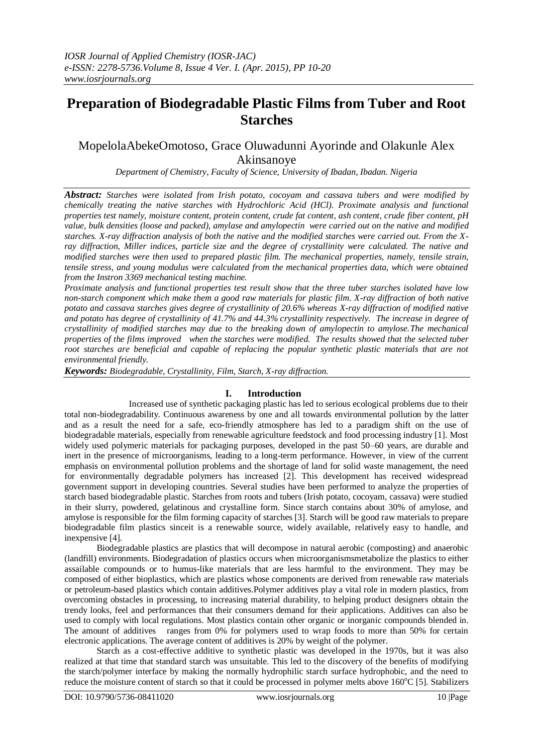# **Preparation of Biodegradable Plastic Films from Tuber and Root Starches**

## MopelolaAbekeOmotoso, Grace Oluwadunni Ayorinde and Olakunle Alex Akinsanoye

*Department of Chemistry, Faculty of Science, University of Ibadan, Ibadan. Nigeria*

*Abstract: Starches were isolated from Irish potato, cocoyam and cassava tubers and were modified by chemically treating the native starches with Hydrochloric Acid (HCl). Proximate analysis and functional properties test namely, moisture content, protein content, crude fat content, ash content, crude fiber content, pH value, bulk densities (loose and packed), amylase and amylopectin were carried out on the native and modified starches. X-ray diffraction analysis of both the native and the modified starches were carried out. From the Xray diffraction, Miller indices, particle size and the degree of crystallinity were calculated. The native and modified starches were then used to prepared plastic film. The mechanical properties, namely, tensile strain, tensile stress, and young modulus were calculated from the mechanical properties data, which were obtained from the Instron 3369 mechanical testing machine.*

*Proximate analysis and functional properties test result show that the three tuber starches isolated have low non-starch component which make them a good raw materials for plastic film. X-ray diffraction of both native potato and cassava starches gives degree of crystallinity of 20.6% whereas X-ray diffraction of modified native*  and potato has degree of crystallinity of 41.7% and 44.3% crystallinity respectively. The increase in degree of *crystallinity of modified starches may due to the breaking down of amylopectin to amylose.The mechanical properties of the films improved when the starches were modified. The results showed that the selected tuber root starches are beneficial and capable of replacing the popular synthetic plastic materials that are not environmental friendly.*

*Keywords: Biodegradable, Crystallinity, Film, Starch, X-ray diffraction.*

## **I. Introduction**

Increased use of synthetic packaging plastic has led to serious ecological problems due to their total non-biodegradability. Continuous awareness by one and all towards environmental pollution by the latter and as a result the need for a safe, eco-friendly atmosphere has led to a paradigm shift on the use of biodegradable materials, especially from renewable agriculture feedstock and food processing industry [1]. Most widely used polymeric materials for packaging purposes, developed in the past 50–60 years, are durable and inert in the presence of microorganisms, leading to a long-term performance. However, in view of the current emphasis on environmental pollution problems and the shortage of land for solid waste management, the need for environmentally degradable polymers has increased [2]. This development has received widespread government support in developing countries. Several studies have been performed to analyze the properties of starch based biodegradable plastic. Starches from roots and tubers (Irish potato, cocoyam, cassava) were studied in their slurry, powdered, gelatinous and crystalline form. Since starch contains about 30% of amylose, and amylose is responsible for the film forming capacity of starches [3]. Starch will be good raw materials to prepare biodegradable film plastics sinceit is a renewable source, widely available, relatively easy to handle, and inexpensive [4].

Biodegradable plastics are [plastics](http://en.wikipedia.org/wiki/Plastic) that will [decompose](http://en.wikipedia.org/wiki/Decompose) in natural aerobic (composting) and anaerobic (landfill) [environments.](http://en.wikipedia.org/wiki/Natural_environment) [Biodegradation](http://en.wikipedia.org/wiki/Biodegradation) of [plastics](http://en.wikipedia.org/wiki/Plastics) occurs when [microorganismsmetabolize](http://en.wikipedia.org/wiki/Microorganisms) th[e plastics](http://en.wikipedia.org/wiki/Plastic) to either [assailable](http://en.wikipedia.org/w/index.php?title=Assimilable&action=edit&redlink=1) compounds or to [humus-](http://en.wikipedia.org/wiki/Humus)like materials that are less harmful to the environment. They may be composed of either [bioplastics,](http://en.wikipedia.org/wiki/Bioplastic) which are plastics whose components are derived from renewable raw materials or [petroleum-](http://en.wikipedia.org/wiki/Petroleum)based plastics which contain [additives.](http://en.wikipedia.org/wiki/Additive)Polymer additives play a vital role in modern plastics, from overcoming obstacles in processing, to increasing material durability, to helping product designers obtain the trendy looks, feel and performances that their consumers demand for their applications. Additives can also be used to comply with local regulations. Most plastics contain other organic or [inorganic compounds](http://en.wikipedia.org/wiki/Inorganic_compound) blended in. The amount of additives ranges from 0% for polymers used to wrap foods to more than 50% for certain electronic applications. The average content of additives is 20% by weight of the polymer.

Starch as a cost-effective additive to synthetic plastic was developed in the 1970s, but it was also realized at that time that standard starch was unsuitable. This led to the discovery of the benefits of modifying the starch/polymer interface by making the normally hydrophilic starch surface hydrophobic, and the need to reduce the moisture content of starch so that it could be processed in polymer melts above  $160^{\circ}$ C [5]. Stabilizers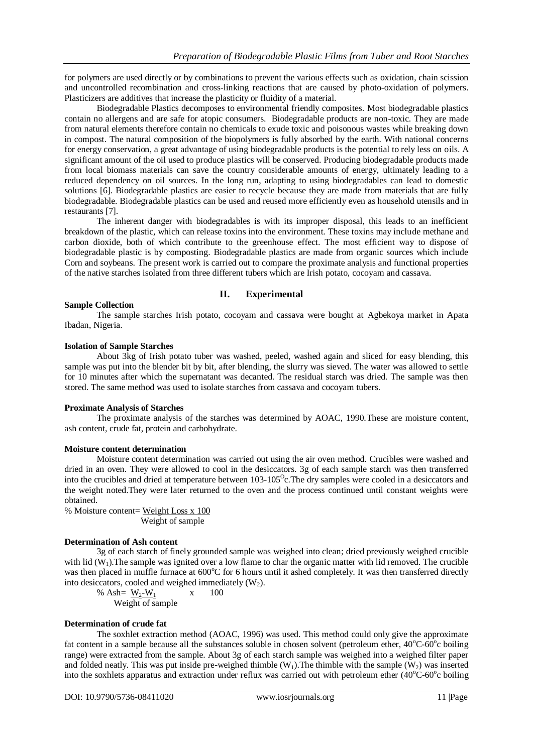for polymers are used directly or by combinations to prevent the various effects such a[s oxidation,](http://en.wikipedia.org/wiki/Oxidation) chain scission and uncontrolled recombination and [cross-linking](http://en.wikipedia.org/wiki/Cross-link) reactions that are caused by [photo-oxidation of polymers.](http://en.wikipedia.org/wiki/Photo-oxidation_of_polymers) Plasticizers are additives that increase the [plasticity](http://en.wikipedia.org/wiki/Plasticity_%28physics%29) or [fluidity](http://en.wikipedia.org/wiki/Fluidity) of a material.

Biodegradable Plastics decomposes to environmental friendly composites. Most biodegradable plastics contain no allergens and are safe for atopic consumers. Biodegradable products are non-toxic. They are made from natural elements therefore contain no chemicals to exude toxic and poisonous wastes while breaking down in compost. The natural composition of the biopolymers is fully absorbed by the earth. With national concerns for energy conservation, a great advantage of using biodegradable products is the potential to rely less on oils. A significant amount of the oil used to produce plastics will be conserved. Producing biodegradable products made from local biomass materials can save the country considerable amounts of energy, ultimately leading to a reduced dependency on oil sources. In the long run, adapting to using biodegradables can lead to domestic solutions [6]. Biodegradable plastics are easier to recycle because they are made from materials that are fully biodegradable. Biodegradable plastics can be used and reused more efficiently even as household utensils and in restaurants [7].

The inherent danger with biodegradables is with its improper disposal, this leads to an inefficient breakdown of the plastic, which can release toxins into the environment. These toxins may include methane and carbon dioxide, both of which contribute to the greenhouse effect. The most efficient way to dispose of biodegradable plastic is by composting. Biodegradable plastics are made from organic sources which include Corn and soybeans. The present work is carried out to compare the proximate analysis and functional properties of the native starches isolated from three different tubers which are Irish potato, cocoyam and cassava.

## **II. Experimental**

## **Sample Collection**

The sample starches Irish potato, cocoyam and cassava were bought at Agbekoya market in Apata Ibadan, Nigeria.

## **Isolation of Sample Starches**

About 3kg of Irish potato tuber was washed, peeled, washed again and sliced for easy blending, this sample was put into the blender bit by bit, after blending, the slurry was sieved. The water was allowed to settle for 10 minutes after which the supernatant was decanted. The residual starch was dried. The sample was then stored. The same method was used to isolate starches from cassava and cocoyam tubers.

#### **Proximate Analysis of Starches**

The proximate analysis of the starches was determined by AOAC, 1990.These are moisture content, ash content, crude fat, protein and carbohydrate.

## **Moisture content determination**

Moisture content determination was carried out using the air oven method. Crucibles were washed and dried in an oven. They were allowed to cool in the desiccators. 3g of each sample starch was then transferred into the crucibles and dried at temperature between  $103-105^{\circ}$ c. The dry samples were cooled in a desiccators and the weight noted.They were later returned to the oven and the process continued until constant weights were obtained.

% Moisture content= Weight Loss x 100 Weight of sample

## **Determination of Ash content**

3g of each starch of finely grounded sample was weighed into clean; dried previously weighed crucible with lid  $(W_1)$ . The sample was ignited over a low flame to char the organic matter with lid removed. The crucible was then placed in muffle furnace at 600°C for 6 hours until it ashed completely. It was then transferred directly into desiccators, cooled and weighed immediately  $(W_2)$ .

% Ash=  $W_2-W_1$  x 100 Weight of sample

## **Determination of crude fat**

The soxhlet extraction method (AOAC, 1996) was used. This method could only give the approximate fat content in a sample because all the substances soluble in chosen solvent (petroleum ether,  $40^{\circ}$ C-60 $^{\circ}$ c boiling range) were extracted from the sample. About 3g of each starch sample was weighed into a weighed filter paper and folded neatly. This was put inside pre-weighed thimble  $(W_1)$ . The thimble with the sample  $(W_2)$  was inserted into the soxhlets apparatus and extraction under reflux was carried out with petroleum ether (40°C-60°c boiling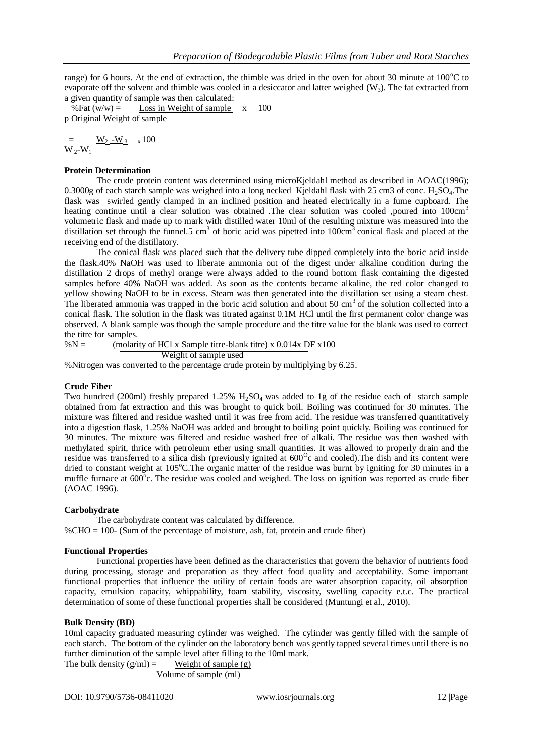range) for 6 hours. At the end of extraction, the thimble was dried in the oven for about 30 minute at  $100^{\circ}$ C to evaporate off the solvent and thimble was cooled in a desiccator and latter weighed  $(W_3)$ . The fat extracted from a given quantity of sample was then calculated:

%Fat  $(w/w) =$  Loss in Weight of sample  $x = 100$ p Original Weight of sample

 $=$   $\frac{W_2-W_3}{W_3} \times 100$  $W_2-W_1$ 

## **Protein Determination**

The crude protein content was determined using microKjeldahl method as described in AOAC(1996); 0.3000g of each starch sample was weighed into a long necked Kjeldahl flask with 25 cm3 of conc.  $H_2SO_4$ . The flask was swirled gently clamped in an inclined position and heated electrically in a fume cupboard. The heating continue until a clear solution was obtained .The clear solution was cooled ,poured into 100cm<sup>3</sup> volumetric flask and made up to mark with distilled water 10ml of the resulting mixture was measured into the distillation set through the funnel.5 cm<sup>3</sup> of boric acid was pipetted into  $100 \text{cm}^3$  conical flask and placed at the receiving end of the distillatory.

The conical flask was placed such that the delivery tube dipped completely into the boric acid inside the flask.40% NaOH was used to liberate ammonia out of the digest under alkaline condition during the distillation 2 drops of methyl orange were always added to the round bottom flask containing the digested samples before 40% NaOH was added. As soon as the contents became alkaline, the red color changed to yellow showing NaOH to be in excess. Steam was then generated into the distillation set using a steam chest. The liberated ammonia was trapped in the boric acid solution and about 50 cm<sup>3</sup> of the solution collected into a conical flask. The solution in the flask was titrated against 0.1M HCl until the first permanent color change was observed. A blank sample was though the sample procedure and the titre value for the blank was used to correct the titre for samples.

 $% N =$  (molarity of HCl x Sample titre-blank titre) x 0.014x DF x100 Weight of sample used

%Nitrogen was converted to the percentage crude protein by multiplying by 6.25.

## **Crude Fiber**

Two hundred (200ml) freshly prepared  $1.25\%$  H<sub>2</sub>SO<sub>4</sub> was added to 1g of the residue each of starch sample obtained from fat extraction and this was brought to quick boil. Boiling was continued for 30 minutes. The mixture was filtered and residue washed until it was free from acid. The residue was transferred quantitatively into a digestion flask, 1.25% NaOH was added and brought to boiling point quickly. Boiling was continued for 30 minutes. The mixture was filtered and residue washed free of alkali. The residue was then washed with methylated spirit, thrice with petroleum ether using small quantities. It was allowed to properly drain and the residue was transferred to a silica dish (previously ignited at  $600^{\circ}$ c and cooled). The dish and its content were dried to constant weight at  $105^{\circ}$ C.The organic matter of the residue was burnt by igniting for 30 minutes in a muffle furnace at 600°c. The residue was cooled and weighed. The loss on ignition was reported as crude fiber (AOAC 1996).

## **Carbohydrate**

The carbohydrate content was calculated by difference. %CHO = 100- (Sum of the percentage of moisture, ash, fat, protein and crude fiber)

## **Functional Properties**

Functional properties have been defined as the characteristics that govern the behavior of nutrients food during processing, storage and preparation as they affect food quality and acceptability. Some important functional properties that influence the utility of certain foods are water absorption capacity, oil absorption capacity, emulsion capacity, whippability, foam stability, viscosity, swelling capacity e.t.c. The practical determination of some of these functional properties shall be considered (Muntungi et al., 2010).

## **Bulk Density (BD)**

10ml capacity graduated measuring cylinder was weighed. The cylinder was gently filled with the sample of each starch. The bottom of the cylinder on the laboratory bench was gently tapped several times until there is no further diminution of the sample level after filling to the 10ml mark.

The bulk density  $(g/ml) =$  Weight of sample  $(g)$ Volume of sample (ml)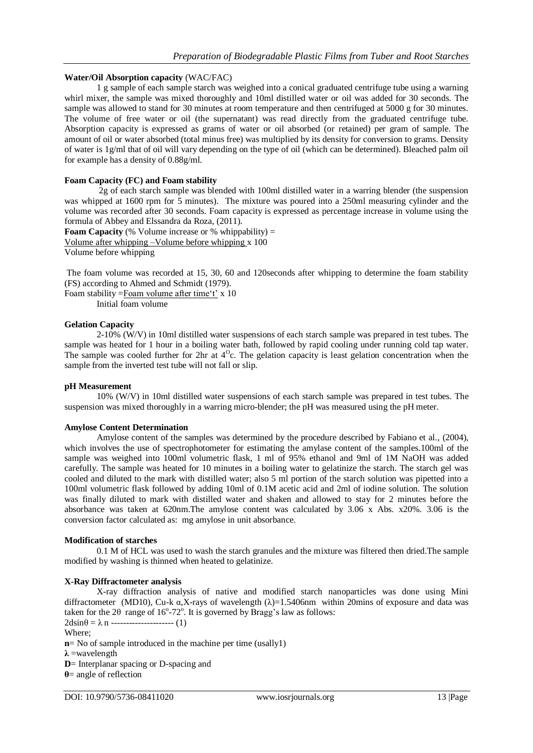## **Water/Oil Absorption capacity** (WAC/FAC)

1 g sample of each sample starch was weighed into a conical graduated centrifuge tube using a warning whirl mixer, the sample was mixed thoroughly and 10ml distilled water or oil was added for 30 seconds. The sample was allowed to stand for 30 minutes at room temperature and then centrifuged at 5000 g for 30 minutes. The volume of free water or oil (the supernatant) was read directly from the graduated centrifuge tube. Absorption capacity is expressed as grams of water or oil absorbed (or retained) per gram of sample. The amount of oil or water absorbed (total minus free) was multiplied by its density for conversion to grams. Density of water is 1g/ml that of oil will vary depending on the type of oil (which can be determined). Bleached palm oil for example has a density of 0.88g/ml.

## **Foam Capacity (FC) and Foam stability**

2g of each starch sample was blended with 100ml distilled water in a warring blender (the suspension was whipped at 1600 rpm for 5 minutes). The mixture was poured into a 250ml measuring cylinder and the volume was recorded after 30 seconds. Foam capacity is expressed as percentage increase in volume using the formula of Abbey and Elssandra da Roza, (2011).

**Foam Capacity** (% Volume increase or % whippability)  $=$ Volume after whipping –Volume before whipping x 100

Volume before whipping

The foam volume was recorded at 15, 30, 60 and 120seconds after whipping to determine the foam stability (FS) according to Ahmed and Schmidt (1979).

Foam stability =Foam volume after time't' x 10

Initial foam volume

## **Gelation Capacity**

2-10% (W/V) in 10ml distilled water suspensions of each starch sample was prepared in test tubes. The sample was heated for 1 hour in a boiling water bath, followed by rapid cooling under running cold tap water. The sample was cooled further for  $2hr$  at  $4^{\circ}$ c. The gelation capacity is least gelation concentration when the sample from the inverted test tube will not fall or slip.

## **pH Measurement**

10% (W/V) in 10ml distilled water suspensions of each starch sample was prepared in test tubes. The suspension was mixed thoroughly in a warring micro-blender; the pH was measured using the pH meter.

## **Amylose Content Determination**

Amylose content of the samples was determined by the procedure described by Fabiano et al., (2004), which involves the use of spectrophotometer for estimating the amylase content of the samples.100ml of the sample was weighed into 100ml volumetric flask, 1 ml of 95% ethanol and 9ml of 1M NaOH was added carefully. The sample was heated for 10 minutes in a boiling water to gelatinize the starch. The starch gel was cooled and diluted to the mark with distilled water; also 5 ml portion of the starch solution was pipetted into a 100ml volumetric flask followed by adding 10ml of 0.1M acetic acid and 2ml of iodine solution. The solution was finally diluted to mark with distilled water and shaken and allowed to stay for 2 minutes before the absorbance was taken at 620nm.The amylose content was calculated by 3.06 x Abs. x20%. 3.06 is the conversion factor calculated as: mg amylose in unit absorbance.

## **Modification of starches**

0.1 M of HCL was used to wash the starch granules and the mixture was filtered then dried.The sample modified by washing is thinned when heated to gelatinize.

## **X-Ray Diffractometer analysis**

X-ray diffraction analysis of native and modified starch nanoparticles was done using Mini diffractometer (MD10), Cu-k  $\alpha$ ,X-rays of wavelength ( $\lambda$ )=1.5406nm within 20mins of exposure and data was taken for the 2 $\theta$  range of 16°-72°. It is governed by Bragg's law as follows:  $2d\sin\theta = \lambda n$  ---------------------- (1)

Where;

**n**= No of sample introduced in the machine per time (usally1)

**λ** =wavelength

**D**= Interplanar spacing or D-spacing and

**θ**= angle of reflection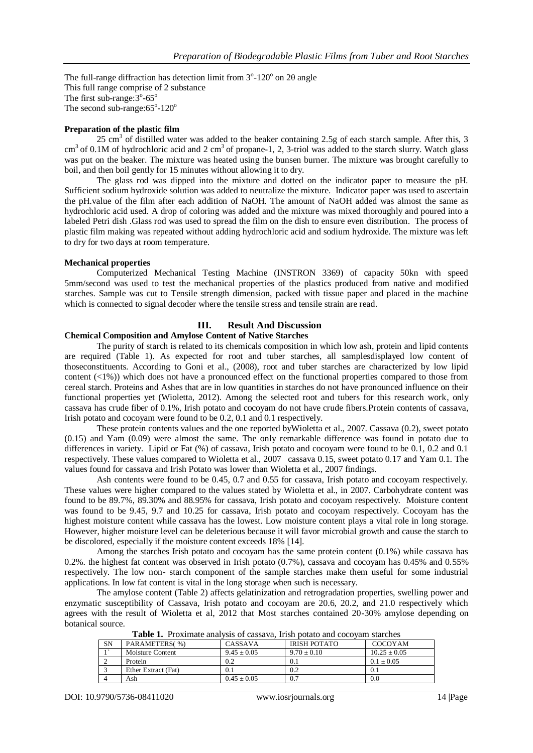The full-range diffraction has detection limit from  $3^{\circ}$ -120° on 20 angle This full range comprise of 2 substance The first sub-range: $3^{\circ}$ -65 $^{\circ}$ The second sub-range: $65^{\circ}$ -120 $^{\circ}$ 

## **Preparation of the plastic film**

25 cm<sup>3</sup> of distilled water was added to the beaker containing 2.5g of each starch sample. After this, 3  $cm<sup>3</sup>$  of 0.1M of hydrochloric acid and 2 cm<sup>3</sup> of propane-1, 2, 3-triol was added to the starch slurry. Watch glass was put on the beaker. The mixture was heated using the bunsen burner. The mixture was brought carefully to boil, and then boil gently for 15 minutes without allowing it to dry.

The glass rod was dipped into the mixture and dotted on the indicator paper to measure the pH. Sufficient sodium hydroxide solution was added to neutralize the mixture. Indicator paper was used to ascertain the pH.value of the film after each addition of NaOH. The amount of NaOH added was almost the same as hydrochloric acid used. A drop of coloring was added and the mixture was mixed thoroughly and poured into a labeled Petri dish .Glass rod was used to spread the film on the dish to ensure even distribution. The process of plastic film making was repeated without adding hydrochloric acid and sodium hydroxide. The mixture was left to dry for two days at room temperature.

## **Mechanical properties**

Computerized Mechanical Testing Machine (INSTRON 3369) of capacity 50kn with speed 5mm/second was used to test the mechanical properties of the plastics produced from native and modified starches. Sample was cut to Tensile strength dimension, packed with tissue paper and placed in the machine which is connected to signal decoder where the tensile stress and tensile strain are read.

## **III. Result And Discussion**

## **Chemical Composition and Amylose Content of Native Starches**

The purity of starch is related to its chemicals composition in which low ash, protein and lipid contents are required (Table 1). As expected for root and tuber starches, all samplesdisplayed low content of thoseconstituents. According to Goni et al., (2008), root and tuber starches are characterized by low lipid content (<1%)) which does not have a pronounced effect on the functional properties compared to those from cereal starch. Proteins and Ashes that are in low quantities in starches do not have pronounced influence on their functional properties yet (Wioletta, 2012). Among the selected root and tubers for this research work, only cassava has crude fiber of 0.1%, Irish potato and cocoyam do not have crude fibers.Protein contents of cassava, Irish potato and cocoyam were found to be 0.2, 0.1 and 0.1 respectively.

These protein contents values and the one reported byWioletta et al., 2007. Cassava (0.2), sweet potato (0.15) and Yam (0.09) were almost the same. The only remarkable difference was found in potato due to differences in variety. Lipid or Fat (%) of cassava, Irish potato and cocoyam were found to be 0.1, 0.2 and 0.1 respectively. These values compared to Wioletta et al., 2007 cassava 0.15, sweet potato 0.17 and Yam 0.1. The values found for cassava and Irish Potato was lower than Wioletta et al., 2007 findings.

Ash contents were found to be 0.45, 0.7 and 0.55 for cassava, Irish potato and cocoyam respectively. These values were higher compared to the values stated by Wioletta et al., in 2007. Carbohydrate content was found to be 89.7%, 89.30% and 88.95% for cassava, Irish potato and cocoyam respectively. Moisture content was found to be 9.45, 9.7 and 10.25 for cassava, Irish potato and cocoyam respectively. Cocoyam has the highest moisture content while cassava has the lowest. Low moisture content plays a vital role in long storage. However, higher moisture level can be deleterious because it will favor microbial growth and cause the starch to be discolored, especially if the moisture content exceeds 18% [14].

Among the starches Irish potato and cocoyam has the same protein content (0.1%) while cassava has 0.2%. the highest fat content was observed in Irish potato (0.7%), cassava and cocoyam has 0.45% and 0.55% respectively. The low non- starch component of the sample starches make them useful for some industrial applications. In low fat content is vital in the long storage when such is necessary.

The amylose content (Table 2) affects gelatinization and retrogradation properties, swelling power and enzymatic susceptibility of Cassava, Irish potato and cocoyam are 20.6, 20.2, and 21.0 respectively which agrees with the result of Wioletta et al, 2012 that Most starches contained 20-30% amylose depending on botanical source.

|           | A WALLY AT A LUISILINGY VALVA LUIU UL VYRUN LYN ALIUSI D'UVWYU VALVE VUVU LYSIL DYVA VILVU |               |                     |                  |  |  |  |
|-----------|--------------------------------------------------------------------------------------------|---------------|---------------------|------------------|--|--|--|
| <b>SN</b> | PARAMETERS(%)                                                                              | CASSAVA       | <b>IRISH POTATO</b> | COCOYAM          |  |  |  |
| $\sim$    | Moisture Content                                                                           | $9.45 + 0.05$ | $9.70 \pm 0.10$     | $10.25 \pm 0.05$ |  |  |  |
|           | Protein                                                                                    | 0.2           | 0.1                 | $0.1 + 0.05$     |  |  |  |
|           | Ether Extract (Fat)                                                                        | 0.1           | 0.2                 | 0.1              |  |  |  |
|           | Ash                                                                                        | $0.45 + 0.05$ | 0.7                 | 0.0              |  |  |  |

**Table 1.** Proximate analysis of cassava, Irish potato and cocoyam starches

DOI: 10.9790/5736-08411020 www.iosrjournals.org 14 |Page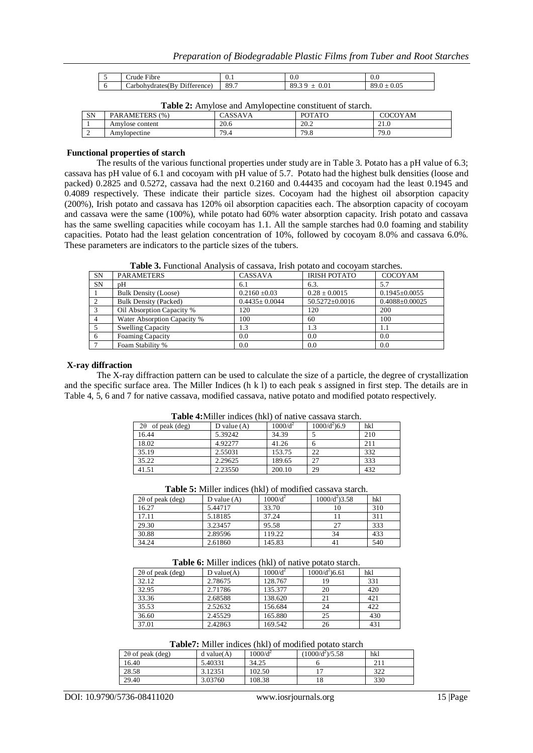| $\overline{\phantom{a}}$ | $\overline{\phantom{a}}$<br>-rbre<br>rude ' | ∪.⊥  | v.v                                  | v.v                                                   |
|--------------------------|---------------------------------------------|------|--------------------------------------|-------------------------------------------------------|
| ◡                        | Diff<br>terence.<br>. Rv<br>arbohydrates(   | 89.7 | QC<br>0.01<br>$\mathbf{U}$<br>ر<br>_ | $\Omega$<br>oc<br>v.v.<br>$\mathbf \sigma$<br>$\cdot$ |

| <b>Table 2:</b> Amylose and Amylopecune constituent of starch. |                 |         |               |         |  |
|----------------------------------------------------------------|-----------------|---------|---------------|---------|--|
| SN                                                             | PARAMETERS (%)  | CASSAVA | <b>POTATO</b> | COCOYAM |  |
|                                                                | Amvlose content | 20.6    | 20.2          | 21.0    |  |
|                                                                | Amvlopectine    | 79.4    | 79.8          | 79.0    |  |

**Table 2:** Amylose and Amylopectine constituent of starch.

#### **Functional properties of starch**

The results of the various functional properties under study are in Table 3. Potato has a pH value of 6.3; cassava has pH value of 6.1 and cocoyam with pH value of 5.7. Potato had the highest bulk densities (loose and packed) 0.2825 and 0.5272, cassava had the next 0.2160 and 0.44435 and cocoyam had the least 0.1945 and 0.4089 respectively. These indicate their particle sizes. Cocoyam had the highest oil absorption capacity (200%), Irish potato and cassava has 120% oil absorption capacities each. The absorption capacity of cocoyam and cassava were the same (100%), while potato had 60% water absorption capacity. Irish potato and cassava has the same swelling capacities while cocoyam has 1.1. All the sample starches had 0.0 foaming and stability capacities. Potato had the least gelation concentration of 10%, followed by cocoyam 8.0% and cassava 6.0%. These parameters are indicators to the particle sizes of the tubers.

**Table 3.** Functional Analysis of cassava, Irish potato and cocoyam starches.

| <b>SN</b> | <b>PARAMETERS</b>            | CASSAVA             | <b>IRISH POTATO</b>  | COCOYAM              |
|-----------|------------------------------|---------------------|----------------------|----------------------|
| <b>SN</b> | pН                           | 6.1                 | 6.3.                 | 5.7                  |
|           | <b>Bulk Density (Loose)</b>  | $0.2160 \pm 0.03$   | $0.28 \pm 0.0015$    | $0.1945 \pm 0.0055$  |
|           | <b>Bulk Density (Packed)</b> | $0.4435 \pm 0.0044$ | $50.5272 \pm 0.0016$ | $0.4088 \pm 0.00025$ |
| 3         | Oil Absorption Capacity %    | 120                 | 120                  | 200                  |
|           | Water Absorption Capacity %  | 100                 | 60                   | 100                  |
|           | <b>Swelling Capacity</b>     | 1.3                 | 1.3                  | 1.1                  |
| 6         | <b>Foaming Capacity</b>      | 0.0                 | 0.0                  | 0.0                  |
|           | Foam Stability %             | 0.0                 | 0.0                  | 0.0                  |

#### **X-ray diffraction**

The X-ray diffraction pattern can be used to calculate the size of a particle, the degree of crystallization and the specific surface area. The Miller Indices (h k l) to each peak s assigned in first step. The details are in Table 4, 5, 6 and 7 for native cassava, modified cassava, native potato and modified potato respectively.

| Table Terminet murces (met) of half ve cassava starch. |               |            |                |     |  |
|--------------------------------------------------------|---------------|------------|----------------|-----|--|
| 2θ<br>of peak (deg)                                    | D value $(A)$ | $1000/d^2$ | $1000/d^2$ 6.9 | hkl |  |
| 16.44                                                  | 5.39242       | 34.39      |                | 210 |  |
| 18.02                                                  | 4.92277       | 41.26      | h              | 211 |  |
| 35.19                                                  | 2.55031       | 153.75     | 22             | 332 |  |
| 35.22                                                  | 2.29625       | 189.65     | 27             | 333 |  |
| 41.51                                                  | 2.23550       | 200.10     | 29             | 432 |  |

**Table 4:**Miller indices (hkl) of native cassava starch.

| Table 5: Miller indices (hkl) of modified cassava starch. |  |
|-----------------------------------------------------------|--|
|-----------------------------------------------------------|--|

| $2\theta$ of peak (deg) | D value $(A)$ | $1000/d^2$ | $1000/d^2$ )3.58 | hkl |
|-------------------------|---------------|------------|------------------|-----|
| 16.27                   | 5.44717       | 33.70      |                  | 310 |
| 17.11                   | 5.18185       | 37.24      |                  | 311 |
| 29.30                   | 3.23457       | 95.58      |                  | 333 |
| 30.88                   | 2.89596       | 119.22     | 34               | 433 |
| 34.24                   | 2.61860       | 145.83     | 41               | 540 |

**Table 6:** Miller indices (hkl) of native potato starch.

| <b>THOIC</b> OF HEIDER HIGHOOD (HEI) OF HEIL TO DOMIN BRIGHT. |               |            |                  |     |  |
|---------------------------------------------------------------|---------------|------------|------------------|-----|--|
| $2\theta$ of peak (deg)                                       | D value $(A)$ | $1000/d^2$ | $1000/d^2$ )6.61 | hkl |  |
| 32.12                                                         | 2.78675       | 128.767    | 19               | 331 |  |
| 32.95                                                         | 2.71786       | 135.377    | 20               | 420 |  |
| 33.36                                                         | 2.68588       | 138.620    | 21               | 421 |  |
| 35.53                                                         | 2.52632       | 156.684    | 24               | 422 |  |
| 36.60                                                         | 2.45529       | 165.880    | 25               | 430 |  |
| 37.01                                                         | 2.42863       | 169.542    | 26               | 431 |  |

**Table7:** Miller indices (hkl) of modified potato starch

| $2\theta$ of peak (deg) | $d$ value $(A)$ | $1000/d^2$ | (1000/d <sup>2</sup> )/5.58 | hkl |
|-------------------------|-----------------|------------|-----------------------------|-----|
| 16.40                   | 5.40331         | 34.25      |                             |     |
| 28.58                   | 3.12351         | 102.50     |                             | 322 |
| 29.40                   | 3.03760         | 108.38     |                             | 330 |

DOI: 10.9790/5736-08411020 www.iosrjournals.org 15 |Page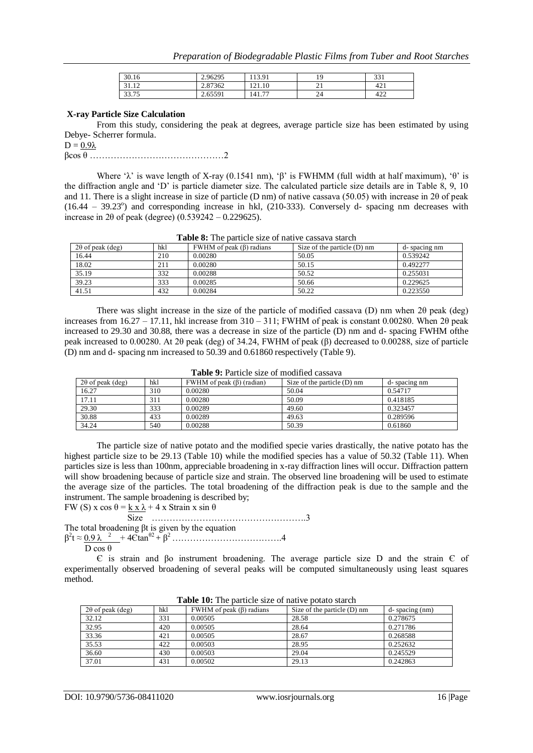| 30.16                          | 2.96295                 | 13.91                    |                | 221<br>، ب |
|--------------------------------|-------------------------|--------------------------|----------------|------------|
| 21<br>1 <sub>0</sub><br>ے در د | 2.87362                 | 121.10                   | Δ.<br>$\sim$ 1 | 121<br>421 |
| 22.75<br>╰<br>JJ.IJ            | 65501<br>2.0 <i>001</i> | $\overline{a}$<br>141.77 | 24             | 100<br>422 |

#### **X-ray Particle Size Calculation**

From this study, considering the peak at degrees, average particle size has been estimated by using Debye- Scherrer formula.

 $D = 0.9\lambda$ 

 $\beta$ cos  $\theta$  …  $\ldots$  …  $\ldots$   $\ldots$   $\ldots$   $\ldots$   $\ldots$   $\ldots$   $\ldots$   $\ldots$   $\ldots$   $\ldots$   $\ldots$   $\ldots$   $\ldots$   $\ldots$   $\ldots$   $\ldots$   $\ldots$   $\ldots$   $\ldots$   $\ldots$   $\ldots$   $\ldots$   $\ldots$   $\ldots$   $\ldots$   $\ldots$   $\ldots$   $\ldots$   $\ldots$   $\ldots$   $\ldots$   $\ldots$   $\ldots$ 

Where 'λ' is wave length of X-ray (0.1541 nm), 'β' is FWHMM (full width at half maximum), 'θ' is the diffraction angle and 'D' is particle diameter size. The calculated particle size details are in Table 8, 9, 10 and 11. There is a slight increase in size of particle (D nm) of native cassava (50.05) with increase in 2θ of peak  $(16.44 - 39.23^{\circ})$  and corresponding increase in hkl,  $(210-333)$ . Conversely d- spacing nm decreases with increase in 2 $\theta$  of peak (degree) (0.539242 – 0.229625).

| A WALLY UT A LIV D'WA VIVIV D'ALIV UL LIWVA (V VWDDW (W DYWA VIL |     |                                |                               |              |  |  |
|------------------------------------------------------------------|-----|--------------------------------|-------------------------------|--------------|--|--|
| $2\theta$ of peak (deg)                                          | hkl | FWHM of peak $(\beta)$ radians | Size of the particle $(D)$ nm | d-spacing nm |  |  |
| 16.44                                                            | 210 | 0.00280                        | 50.05                         | 0.539242     |  |  |
| 18.02                                                            | 211 | 0.00280                        | 50.15                         | 0.492277     |  |  |
| 35.19                                                            | 332 | 0.00288                        | 50.52                         | 0.255031     |  |  |
| 39.23                                                            | 333 | 0.00285                        | 50.66                         | 0.229625     |  |  |
| 41.51                                                            | 432 | 0.00284                        | 50.22                         | 0.223550     |  |  |

**Table 8:** The particle size of native cassava starch

There was slight increase in the size of the particle of modified cassava (D) nm when 2θ peak (deg) increases from  $16.27 - 17.11$ , hkl increase from  $310 - 311$ ; FWHM of peak is constant 0.00280. When  $2\theta$  peak increased to 29.30 and 30.88, there was a decrease in size of the particle (D) nm and d- spacing FWHM ofthe peak increased to 0.00280. At 2θ peak (deg) of 34.24, FWHM of peak (β) decreased to 0.00288, size of particle (D) nm and d- spacing nm increased to 50.39 and 0.61860 respectively (Table 9).

| Table 2. I alticle size of mounted cassava |     |                                 |                             |              |  |  |
|--------------------------------------------|-----|---------------------------------|-----------------------------|--------------|--|--|
| $2\theta$ of peak (deg)                    | hkl | FWHM of peak $(\beta)$ (radian) | Size of the particle (D) nm | d-spacing nm |  |  |
| 16.27                                      | 310 | 0.00280                         | 50.04                       | 0.54717      |  |  |
| 17.11                                      | 311 | 0.00280                         | 50.09                       | 0.418185     |  |  |
| 29.30                                      | 333 | 0.00289                         | 49.60                       | 0.323457     |  |  |
| 30.88                                      | 433 | 0.00289                         | 49.63                       | 0.289596     |  |  |
| 34.24                                      | 540 | 0.00288                         | 50.39                       | 0.61860      |  |  |

**Table 9:** Particle size of modified cassava

The particle size of native potato and the modified specie varies drastically, the native potato has the highest particle size to be 29.13 (Table 10) while the modified species has a value of 50.32 (Table 11). When particles size is less than 100nm, appreciable broadening in x-ray diffraction lines will occur. Diffraction pattern will show broadening because of particle size and strain. The observed line broadening will be used to estimate the average size of the particles. The total broadening of the diffraction peak is due to the sample and the instrument. The sample broadening is described by;

FW (S) x cos  $\theta = k \times \lambda + 4 \times$  Strain x sin  $\theta$  Size …………………………………………….3 The total broadening βt is given by the equation β 2 t ≈ 0.9 λ <sup>2</sup>+ 4Єtanθ2 + β <sup>2</sup>……………………………….4

D cos θ

Є is strain and βo instrument broadening. The average particle size D and the strain Є of experimentally observed broadening of several peaks will be computed simultaneously using least squares method.

| $2\theta$ of peak (deg) | hkl | FWHM of peak $(\beta)$ radians | Size of the particle $(D)$ nm | d-spacing (nm) |
|-------------------------|-----|--------------------------------|-------------------------------|----------------|
| 32.12                   | 331 | 0.00505                        | 28.58                         | 0.278675       |
| 32.95                   | 420 | 0.00505                        | 28.64                         | 0.271786       |
| 33.36                   | 421 | 0.00505                        | 28.67                         | 0.268588       |
| 35.53                   | 422 | 0.00503                        | 28.95                         | 0.252632       |
| 36.60                   | 430 | 0.00503                        | 29.04                         | 0.245529       |
| 37.01                   | 431 | 0.00502                        | 29.13                         | 0.242863       |

**Table 10:** The particle size of native potato starch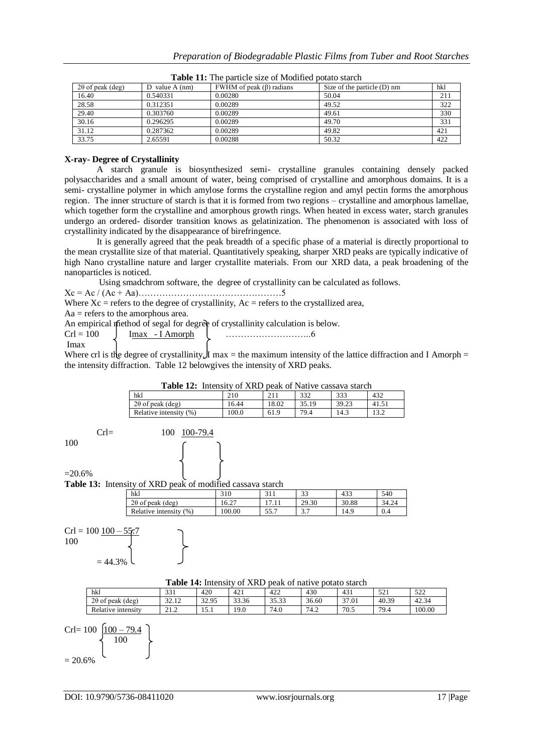| $2\theta$ of peak (deg) | D value $A$ (nm) | FWHM of peak $(\beta)$ radians | Size of the particle $(D)$ nm | hkl |
|-------------------------|------------------|--------------------------------|-------------------------------|-----|
| 16.40                   | 0.540331         | 0.00280                        | 50.04                         | 211 |
| 28.58                   | 0.312351         | 0.00289                        | 49.52                         | 322 |
| 29.40                   | 0.303760         | 0.00289                        | 49.61                         | 330 |
| 30.16                   | 0.296295         | 0.00289                        | 49.70                         | 331 |
| 31.12                   | 0.287362         | 0.00289                        | 49.82                         | 421 |
| 33.75                   | 2.65591          | 0.00288                        | 50.32                         | 422 |

**Table 11:** The particle size of Modified potato starch

#### **X-ray- Degree of Crystallinity**

A starch granule is biosynthesized semi- crystalline granules containing densely packed polysaccharides and a small amount of water, being comprised of crystalline and amorphous domains. It is a semi- crystalline polymer in which amylose forms the crystalline region and amyl pectin forms the amorphous region. The inner structure of starch is that it is formed from two regions – crystalline and amorphous lamellae, which together form the crystalline and amorphous growth rings. When heated in excess water, starch granules undergo an ordered- disorder transition knows as gelatinization. The phenomenon is associated with loss of crystallinity indicated by the disappearance of birefringence.

It is generally agreed that the peak breadth of a specific phase of a material is directly proportional to the mean crystallite size of that material. Quantitatively speaking, sharper XRD peaks are typically indicative of high Nano crystalline nature and larger crystallite materials. From our XRD data, a peak broadening of the nanoparticles is noticed.

Using smadchrom software, the degree of crystallinity can be calculated as follows.

Xc = Ac / (Ac + Aa)…………………………………………5

Where  $Xc$  = refers to the degree of crystallinity,  $Ac$  = refers to the crystallized area,

 $Aa$  = refers to the amorphous area.

An empirical method of segal for degree of crystallinity calculation is below.

| $Cr1 = 100$ | Imax - LAmornh |  |
|-------------|----------------|--|
|             |                |  |

Where crl is the degree of crystallinity, I max = the maximum intensity of the lattice diffraction and I Amorph = the intensity diffraction. Table 12 belowgives the intensity of XRD peaks.

| <b>Table 12:</b> Intensity of XRD peak of Native cassava starch |       |       |       |       |       |
|-----------------------------------------------------------------|-------|-------|-------|-------|-------|
| hkl                                                             | 210   | 211   | 332   | 333   | 432   |
| $2\theta$ of peak (deg)                                         | 16.44 | 18.02 | 35.19 | 39.23 | 41.51 |
| Relative intensity (%)                                          | 100.0 | 61.9  | 79.4  | 14.3  | 13.2  |

100

## Crl= 100 100-79.4

## $=20.6%$

**Table 13:** Intensity of XRD peak of modified cassava starch

| hkl                     | 310   |              | $\mathcal{L}$<br>JЭ | 433   | 540   |
|-------------------------|-------|--------------|---------------------|-------|-------|
| $2\theta$ of peak (deg) | 6.27  |              | 29.30               | 30.88 | 34.24 |
| Relative intensity (%)  | 00.00 | 55 7<br>JJ.I | ،                   | 14.9  | 0.4   |

 $Crl = 100 100$ 100

$$
=44.3\%
$$

## **Table 14:** Intensity of XRD peak of native potato starch

|                            |                 | --------------------- | $\sim$ $\sim$ $\sim$ $\sim$ $\sim$ |               |       |       |               |        |
|----------------------------|-----------------|-----------------------|------------------------------------|---------------|-------|-------|---------------|--------|
| hkl                        | 331             | 420                   | 421                                | 422           | 430   | 431   | 501<br>1 کے ل | 522    |
| $2\theta$ of peak<br>'deg) | $\sim$<br>32.12 | 32.95                 | 33.36                              | 3532<br>33.33 | 36.60 | 37.01 | 40.39         | 42.34  |
| Relative intensity         | 212<br>41.Z     | 15.1                  | 19.0                               | 74.0          | 74.2  | 70.5  | 79.4          | 100.00 |

$$
\text{Crl} = 100 \left\{ \frac{100 - 79.4}{100} \right\}
$$

$$
= 20.6\%
$$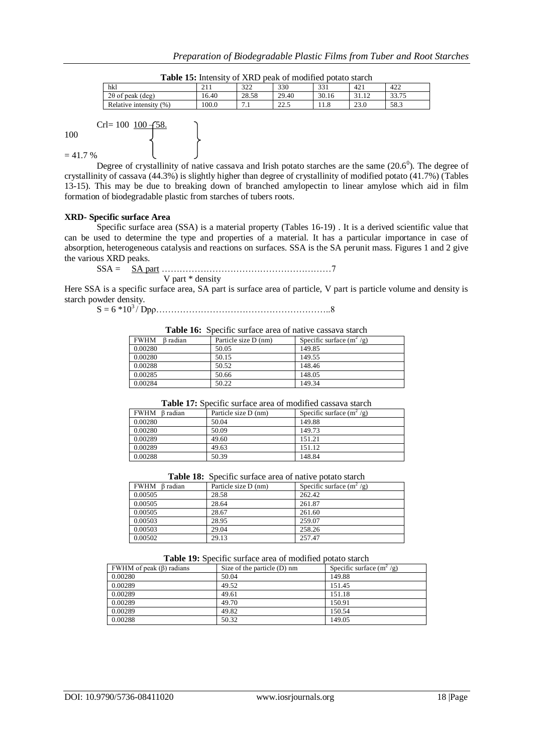| hkl                                 | $\sim$ 1 1<br><u> 11</u> | 322<br>ے بے د | 330           | 221<br>33 I     | 421                 | 422                   |
|-------------------------------------|--------------------------|---------------|---------------|-----------------|---------------------|-----------------------|
| $2\theta$ of peak<br>$(\text{deg})$ | 16.40                    | 28.58         | 29.40         | 30.16           | 1 <sub>2</sub><br>. | 22.75<br><i>JJ.IJ</i> |
| Relative<br>(96)<br>intensity       | 100.0                    | -<br>$\cdots$ | 22c<br>ل کے ک | $\circ$<br>11.0 | 23.0                | 58.3                  |

| <b>Table 15:</b> Intensity of XRD peak of modified potato starch |  |  |
|------------------------------------------------------------------|--|--|
|------------------------------------------------------------------|--|--|

 $Crl = 100$  100  $-58$ 

100

 $= 41.7 %$ 

Degree of crystallinity of native cassava and Irish potato starches are the same  $(20.6^{\circ})$ . The degree of crystallinity of cassava (44.3%) is slightly higher than degree of crystallinity of modified potato (41.7%) (Tables 13-15). This may be due to breaking down of branched amylopectin to linear amylose which aid in film formation of biodegradable plastic from starches of tubers roots.

## **XRD- Specific surface Area**

Specific surface area (SSA) is a material property (Tables 16-19) . It is a derived scientific value that can be used to determine the type and properties of a material. It has a particular importance in case of absorption, heterogeneous catalysis and reactions on surfaces. SSA is the SA perunit mass. Figures 1 and 2 give the various XRD peaks.

SSA = SA part …………………………………………………7 V part \* density

Here SSA is a specific surface area, SA part is surface area of particle, V part is particle volume and density is starch powder density.

S = 6 \*10<sup>3</sup>/ Dpρ…………………………………………………..8

#### **Table 16:** Specific surface area of native cassava starch

| <b>FWHM</b><br>B radian | Particle size D (nm) | Specific surface $(m^2/g)$ |
|-------------------------|----------------------|----------------------------|
| 0.00280                 | 50.05                | 149.85                     |
| 0.00280                 | 50.15                | 149.55                     |
| 0.00288                 | 50.52                | 148.46                     |
| 0.00285                 | 50.66                | 148.05                     |
| 0.00284                 | 50.22                | 149.34                     |

**Table 17:** Specific surface area of modified cassava starch

| FWHM Bradian | Particle size D (nm) | Specific surface $(m^2/g)$ |
|--------------|----------------------|----------------------------|
| 0.00280      | 50.04                | 149.88                     |
| 0.00280      | 50.09                | 149.73                     |
| 0.00289      | 49.60                | 151.21                     |
| 0.00289      | 49.63                | 151.12                     |
| 0.00288      | 50.39                | 148.84                     |

**Table 18:** Specific surface area of native potato starch

| FWHM Bradian | Particle size D (nm) | Specific surface $(m^2/g)$ |
|--------------|----------------------|----------------------------|
| 0.00505      | 28.58                | 262.42                     |
| 0.00505      | 28.64                | 261.87                     |
| 0.00505      | 28.67                | 261.60                     |
| 0.00503      | 28.95                | 259.07                     |
| 0.00503      | 29.04                | 258.26                     |
| 0.00502      | 29.13                | 257.47                     |

#### **Table 19:** Specific surface area of modified potato starch

| FWHM of peak $(\beta)$ radians | Size of the particle (D) nm | Specific surface $(m^2/g)$ |
|--------------------------------|-----------------------------|----------------------------|
| 0.00280                        | 50.04                       | 149.88                     |
| 0.00289                        | 49.52                       | 151.45                     |
| 0.00289                        | 49.61                       | 151.18                     |
| 0.00289                        | 49.70                       | 150.91                     |
| 0.00289                        | 49.82                       | 150.54                     |
| 0.00288                        | 50.32                       | 149.05                     |
|                                |                             |                            |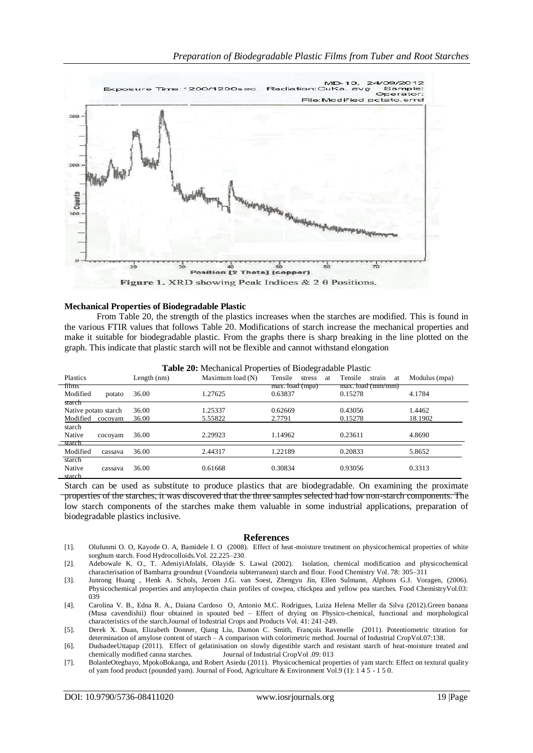

#### **Mechanical Properties of Biodegradable Plastic**

From Table 20, the strength of the plastics increases when the starches are modified. This is found in the various FTIR values that follows Table 20. Modifications of starch increase the mechanical properties and make it suitable for biodegradable plastic. From the graphs there is sharp breaking in the line plotted on the graph. This indicate that plastic starch will not be flexible and cannot withstand elongation

| Plastics                                              | Length (nm)    | Maximum load (N)   | Tensile<br>stress<br>at    | Tensile<br>strain<br>at      | Modulus (mpa)     |
|-------------------------------------------------------|----------------|--------------------|----------------------------|------------------------------|-------------------|
| films<br>Modified<br>potato                           | 36.00          | 1.27625            | max. load (mpa)<br>0.63837 | max. load (mm/mm)<br>0.15278 | 4.1784            |
| starch<br>Native potato starch<br>Modified<br>cocoyam | 36.00<br>36.00 | 1.25337<br>5.55822 | 0.62669<br>2.7791          | 0.43056<br>0.15278           | 1.4462<br>18.1902 |
| starch<br>Native<br>cocoyam                           | 36.00          | 2.29923            | 1.14962                    | 0.23611                      | 4.8690            |
| starch<br>Modified<br>cassava                         | 36.00          | 2.44317            | 1.22189                    | 0.20833                      | 5.8652            |
| starch<br>Native<br>cassava<br>starch                 | 36.00          | 0.61668            | 0.30834                    | 0.93056                      | 0.3313            |

**Table 20:** Mechanical Properties of Biodegradable Plastic

Starch can be used as substitute to produce plastics that are biodegradable. On examining the proximate properties of the starches, it was discovered that the three samples selected had low non-starch components. The low starch components of the starches make them valuable in some industrial applications, preparation of biodegradable plastics inclusive.

#### **References**

- [1]. Olufunmi O. O, Kayode O. A, Bamidele I. O (2008). Effect of heat-moisture treatment on physicochemical properties of white sorghum starch. Food Hydrocolloids.Vol. 22.225–230.
- [2]. Adebowale K. O., T. AdeniyiAfolabi, Olayide S. Lawal (2002). Isolation, chemical modification and physicochemical characterisation of Bambarra groundnut (Voandzeia subterranean) starch and flour. Food Chemistry Vol. 78: 305–311
- [3]. Junrong Huang , Henk A. Schols, Jeroen J.G. van Soest, Zhengyu Jin, Ellen Sulmann, Alphons G.J. Voragen, (2006). Physicochemical properties and amylopectin chain profiles of cowpea, chickpea and yellow pea starches. Food ChemistryVol.03: 039
- [4]. Carolina V. B., Edna R. A., Daiana Cardoso O, Antonio M.C. Rodrigues, Luiza Helena Meller da Silva (2012).Green banana (Musa cavendishii) flour obtained in spouted bed – Effect of drying on Physico-chemical, functional and morphological characteristics of the starch.Journal of Industrial Crops and Products Vol. 41: 241-249.
- [5]. Derek X. Duan, Elizabeth Donner, Qiang Liu, Damon C. Smith, François Ravenelle (2011). Potentiometric titration for determination of amylose content of starch – A comparison with colorimetric method. Journal of Industrial CropVol.07:138.
- [6]. DudsadeeUttapap (2011). Effect of gelatinisation on slowly digestible starch and resistant starch of heat-moisture treated and chemically modified canna starches. Journal of Industrial CropVol .09: 013
- [7]. BolanleOtegbayo, MpokoBokanga, and Robert Asiedu (2011). Physicochemical properties of yam starch: Effect on textural quality of yam food product (pounded yam). Journal of Food, Agriculture & Environment Vol.9 (1): 1 4 5 - 1 5 0.